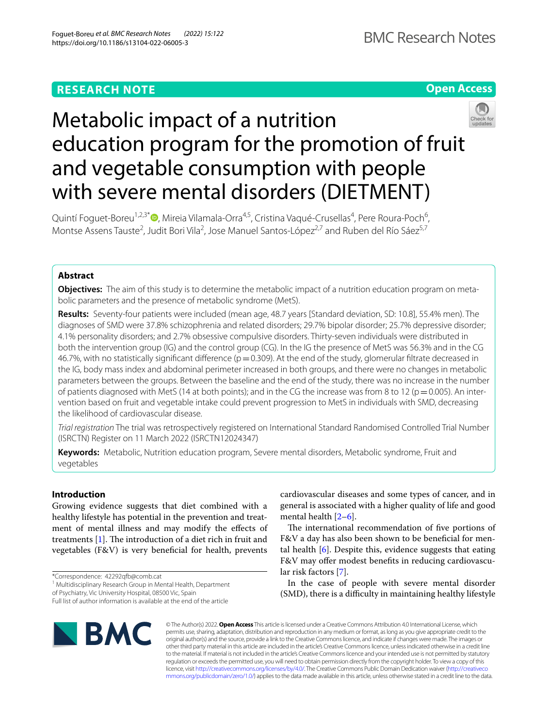## **RESEARCH NOTE**



# Metabolic impact of a nutrition education program for the promotion of fruit and vegetable consumption with people with severe mental disorders (DIETMENT)



Quintí Foguet-Boreu<sup>1,2,3\*</sup>®[,](http://orcid.org/0000-0002-6069-5305) Mireia Vilamala-Orra<sup>4,5</sup>, Cristina Vaqué-Crusellas<sup>4</sup>, Pere Roura-Poch<sup>6</sup>, Montse Assens Tauste<sup>2</sup>, Judit Bori Vila<sup>2</sup>, Jose Manuel Santos-López<sup>2,7</sup> and Ruben del Río Sáez<sup>5,7</sup>

## **Abstract**

**Objectives:** The aim of this study is to determine the metabolic impact of a nutrition education program on metabolic parameters and the presence of metabolic syndrome (MetS).

**Results:** Seventy-four patients were included (mean age, 48.7 years [Standard deviation, SD: 10.8], 55.4% men). The diagnoses of SMD were 37.8% schizophrenia and related disorders; 29.7% bipolar disorder; 25.7% depressive disorder; 4.1% personality disorders; and 2.7% obsessive compulsive disorders. Thirty-seven individuals were distributed in both the intervention group (IG) and the control group (CG). In the IG the presence of MetS was 56.3% and in the CG 46.7%, with no statistically significant difference ( $p=0.309$ ). At the end of the study, glomerular filtrate decreased in the IG, body mass index and abdominal perimeter increased in both groups, and there were no changes in metabolic parameters between the groups. Between the baseline and the end of the study, there was no increase in the number of patients diagnosed with MetS (14 at both points); and in the CG the increase was from 8 to 12 ( $p=0.005$ ). An intervention based on fruit and vegetable intake could prevent progression to MetS in individuals with SMD, decreasing the likelihood of cardiovascular disease.

*Trial registration* The trial was retrospectively registered on International Standard Randomised Controlled Trial Number (ISRCTN) Register on 11 March 2022 (ISRCTN12024347)

**Keywords:** Metabolic, Nutrition education program, Severe mental disorders, Metabolic syndrome, Fruit and vegetables

## **Introduction**

Growing evidence suggests that diet combined with a healthy lifestyle has potential in the prevention and treatment of mental illness and may modify the efects of treatments  $[1]$  $[1]$ . The introduction of a diet rich in fruit and vegetables (F&V) is very benefcial for health, prevents

of Psychiatry, Vic University Hospital, 08500 Vic, Spain

cardiovascular diseases and some types of cancer, and in general is associated with a higher quality of life and good mental health [\[2](#page-5-1)[–6](#page-5-2)]. The international recommendation of five portions of

F&V a day has also been shown to be beneficial for mental health  $[6]$  $[6]$ . Despite this, evidence suggests that eating F&V may offer modest benefits in reducing cardiovascular risk factors [[7\]](#page-5-3).

In the case of people with severe mental disorder (SMD), there is a difficulty in maintaining healthy lifestyle



© The Author(s) 2022. **Open Access** This article is licensed under a Creative Commons Attribution 4.0 International License, which permits use, sharing, adaptation, distribution and reproduction in any medium or format, as long as you give appropriate credit to the original author(s) and the source, provide a link to the Creative Commons licence, and indicate if changes were made. The images or other third party material in this article are included in the article's Creative Commons licence, unless indicated otherwise in a credit line to the material. If material is not included in the article's Creative Commons licence and your intended use is not permitted by statutory regulation or exceeds the permitted use, you will need to obtain permission directly from the copyright holder. To view a copy of this licence, visit [http://creativecommons.org/licenses/by/4.0/.](http://creativecommons.org/licenses/by/4.0/) The Creative Commons Public Domain Dedication waiver ([http://creativeco](http://creativecommons.org/publicdomain/zero/1.0/) [mmons.org/publicdomain/zero/1.0/](http://creativecommons.org/publicdomain/zero/1.0/)) applies to the data made available in this article, unless otherwise stated in a credit line to the data.

<sup>\*</sup>Correspondence: 42292qfb@comb.cat

<sup>&</sup>lt;sup>1</sup> Multidisciplinary Research Group in Mental Health, Department

Full list of author information is available at the end of the article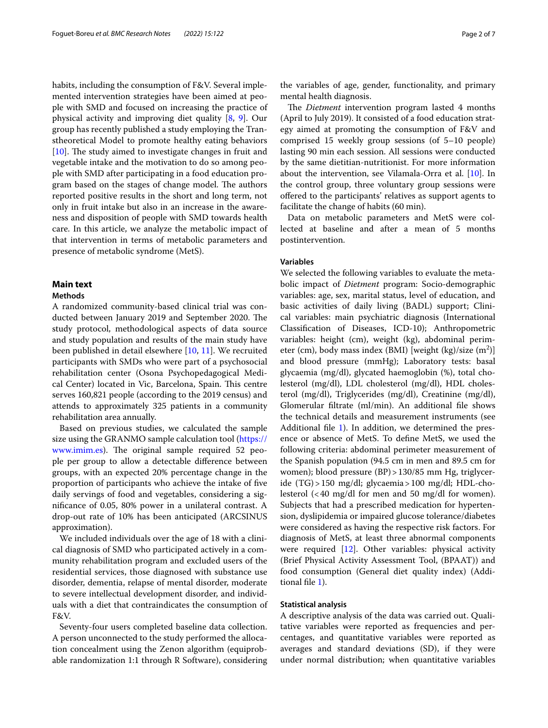habits, including the consumption of F&V. Several implemented intervention strategies have been aimed at people with SMD and focused on increasing the practice of physical activity and improving diet quality [\[8](#page-5-4), [9](#page-5-5)]. Our group has recently published a study employing the Transtheoretical Model to promote healthy eating behaviors  $[10]$  $[10]$ . The study aimed to investigate changes in fruit and vegetable intake and the motivation to do so among people with SMD after participating in a food education program based on the stages of change model. The authors reported positive results in the short and long term, not only in fruit intake but also in an increase in the awareness and disposition of people with SMD towards health care. In this article, we analyze the metabolic impact of that intervention in terms of metabolic parameters and presence of metabolic syndrome (MetS).

#### **Main text**

#### **Methods**

A randomized community-based clinical trial was conducted between January 2019 and September 2020. The study protocol, methodological aspects of data source and study population and results of the main study have been published in detail elsewhere [[10,](#page-5-6) [11\]](#page-5-7). We recruited participants with SMDs who were part of a psychosocial rehabilitation center (Osona Psychopedagogical Medical Center) located in Vic, Barcelona, Spain. This centre serves 160,821 people (according to the 2019 census) and attends to approximately 325 patients in a community rehabilitation area annually.

Based on previous studies, we calculated the sample size using the GRANMO sample calculation tool [\(https://](https://www.imim.es) [www.imim.es\)](https://www.imim.es). The original sample required 52 people per group to allow a detectable diference between groups, with an expected 20% percentage change in the proportion of participants who achieve the intake of fve daily servings of food and vegetables, considering a signifcance of 0.05, 80% power in a unilateral contrast. A drop-out rate of 10% has been anticipated (ARCSINUS approximation).

We included individuals over the age of 18 with a clinical diagnosis of SMD who participated actively in a community rehabilitation program and excluded users of the residential services, those diagnosed with substance use disorder, dementia, relapse of mental disorder, moderate to severe intellectual development disorder, and individuals with a diet that contraindicates the consumption of F&V.

Seventy-four users completed baseline data collection. A person unconnected to the study performed the allocation concealment using the Zenon algorithm (equiprobable randomization 1:1 through R Software), considering

the variables of age, gender, functionality, and primary mental health diagnosis.

The *Dietment* intervention program lasted 4 months (April to July 2019). It consisted of a food education strategy aimed at promoting the consumption of F&V and comprised 15 weekly group sessions (of 5–10 people) lasting 90 min each session. All sessions were conducted by the same dietitian-nutritionist. For more information about the intervention, see Vilamala-Orra et al. [\[10\]](#page-5-6). In the control group, three voluntary group sessions were ofered to the participants' relatives as support agents to facilitate the change of habits (60 min).

Data on metabolic parameters and MetS were collected at baseline and after a mean of 5 months postintervention.

## **Variables**

We selected the following variables to evaluate the metabolic impact of *Dietment* program: Socio-demographic variables: age, sex, marital status, level of education, and basic activities of daily living (BADL) support; Clinical variables: main psychiatric diagnosis (International Classifcation of Diseases, ICD-10); Anthropometric variables: height (cm), weight (kg), abdominal perimeter (cm), body mass index (BMI) [weight (kg)/size  $(m^2)$ ] and blood pressure (mmHg); Laboratory tests: basal glycaemia (mg/dl), glycated haemoglobin (%), total cholesterol (mg/dl), LDL cholesterol (mg/dl), HDL cholesterol (mg/dl), Triglycerides (mg/dl), Creatinine (mg/dl), Glomerular fltrate (ml/min). An additional fle shows the technical details and measurement instruments (see Additional file [1\)](#page-5-8). In addition, we determined the presence or absence of MetS. To defne MetS, we used the following criteria: abdominal perimeter measurement of the Spanish population (94.5 cm in men and 89.5 cm for women); blood pressure (BP) > 130/85 mm Hg, triglyceride (TG)>150 mg/dl; glycaemia>100 mg/dl; HDL-cholesterol (<40 mg/dl for men and 50 mg/dl for women). Subjects that had a prescribed medication for hypertension, dyslipidemia or impaired glucose tolerance/diabetes were considered as having the respective risk factors. For diagnosis of MetS, at least three abnormal components were required [\[12\]](#page-5-9). Other variables: physical activity (Brief Physical Activity Assessment Tool, (BPAAT)) and food consumption (General diet quality index) (Additional fle [1](#page-5-8)).

#### **Statistical analysis**

A descriptive analysis of the data was carried out. Qualitative variables were reported as frequencies and percentages, and quantitative variables were reported as averages and standard deviations (SD), if they were under normal distribution; when quantitative variables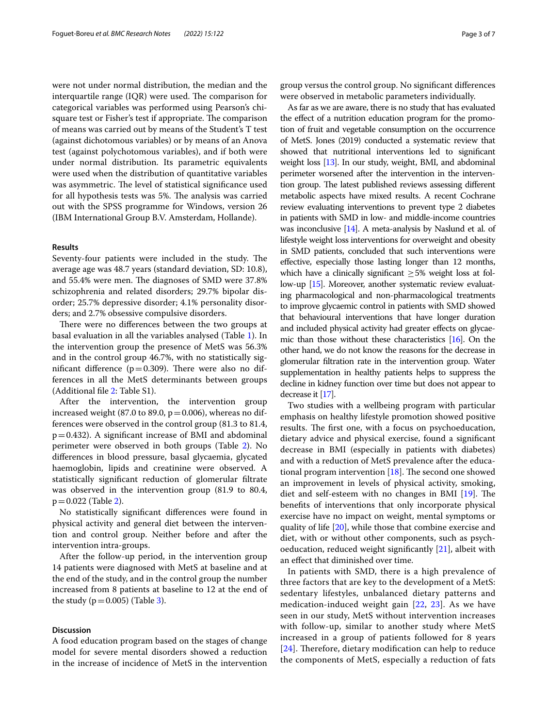were not under normal distribution, the median and the interquartile range  $(IQR)$  were used. The comparison for categorical variables was performed using Pearson's chisquare test or Fisher's test if appropriate. The comparison of means was carried out by means of the Student's T test (against dichotomous variables) or by means of an Anova test (against polychotomous variables), and if both were under normal distribution. Its parametric equivalents were used when the distribution of quantitative variables was asymmetric. The level of statistical significance used for all hypothesis tests was 5%. The analysis was carried out with the SPSS programme for Windows, version 26 (IBM International Group B.V. Amsterdam, Hollande).

#### **Results**

Seventy-four patients were included in the study. The average age was 48.7 years (standard deviation, SD: 10.8), and 55.4% were men. The diagnoses of SMD were 37.8% schizophrenia and related disorders; 29.7% bipolar disorder; 25.7% depressive disorder; 4.1% personality disorders; and 2.7% obsessive compulsive disorders.

There were no differences between the two groups at basal evaluation in all the variables analysed (Table [1\)](#page-3-0). In the intervention group the presence of MetS was 56.3% and in the control group 46.7%, with no statistically significant difference ( $p=0.309$ ). There were also no differences in all the MetS determinants between groups (Additional fle [2](#page-5-10): Table S1).

After the intervention, the intervention group increased weight (87.0 to 89.0,  $p = 0.006$ ), whereas no differences were observed in the control group (81.3 to 81.4,  $p=0.432$ ). A significant increase of BMI and abdominal perimeter were observed in both groups (Table [2](#page-4-0)). No diferences in blood pressure, basal glycaemia, glycated haemoglobin, lipids and creatinine were observed. A statistically signifcant reduction of glomerular fltrate was observed in the intervention group (81.9 to 80.4,  $p = 0.022$  (Table [2](#page-4-0)).

No statistically signifcant diferences were found in physical activity and general diet between the intervention and control group. Neither before and after the intervention intra-groups.

After the follow-up period, in the intervention group 14 patients were diagnosed with MetS at baseline and at the end of the study, and in the control group the number increased from 8 patients at baseline to 12 at the end of the study ( $p=0.005$ ) (Table [3](#page-4-1)).

#### **Discussion**

A food education program based on the stages of change model for severe mental disorders showed a reduction in the increase of incidence of MetS in the intervention group versus the control group. No signifcant diferences were observed in metabolic parameters individually.

As far as we are aware, there is no study that has evaluated the efect of a nutrition education program for the promotion of fruit and vegetable consumption on the occurrence of MetS. Jones (2019) conducted a systematic review that showed that nutritional interventions led to signifcant weight loss [\[13\]](#page-5-11). In our study, weight, BMI, and abdominal perimeter worsened after the intervention in the intervention group. The latest published reviews assessing different metabolic aspects have mixed results. A recent Cochrane review evaluating interventions to prevent type 2 diabetes in patients with SMD in low- and middle-income countries was inconclusive [[14](#page-5-12)]. A meta-analysis by Naslund et al. of lifestyle weight loss interventions for overweight and obesity in SMD patients, concluded that such interventions were efective, especially those lasting longer than 12 months, which have a clinically significant  $\geq$  5% weight loss at follow-up [\[15](#page-5-13)]. Moreover, another systematic review evaluating pharmacological and non-pharmacological treatments to improve glycaemic control in patients with SMD showed that behavioural interventions that have longer duration and included physical activity had greater efects on glycaemic than those without these characteristics [\[16](#page-5-14)]. On the other hand, we do not know the reasons for the decrease in glomerular fltration rate in the intervention group. Water supplementation in healthy patients helps to suppress the decline in kidney function over time but does not appear to decrease it [[17](#page-5-15)].

Two studies with a wellbeing program with particular emphasis on healthy lifestyle promotion showed positive results. The first one, with a focus on psychoeducation, dietary advice and physical exercise, found a signifcant decrease in BMI (especially in patients with diabetes) and with a reduction of MetS prevalence after the educational program intervention  $[18]$ . The second one showed an improvement in levels of physical activity, smoking, diet and self-esteem with no changes in BMI  $[19]$ . The benefts of interventions that only incorporate physical exercise have no impact on weight, mental symptoms or quality of life [\[20](#page-6-1)], while those that combine exercise and diet, with or without other components, such as psychoeducation, reduced weight significantly  $[21]$  $[21]$ , albeit with an efect that diminished over time.

In patients with SMD, there is a high prevalence of three factors that are key to the development of a MetS: sedentary lifestyles, unbalanced dietary patterns and medication-induced weight gain [[22,](#page-6-3) [23](#page-6-4)]. As we have seen in our study, MetS without intervention increases with follow-up, similar to another study where MetS increased in a group of patients followed for 8 years  $[24]$  $[24]$  $[24]$ . Therefore, dietary modification can help to reduce the components of MetS, especially a reduction of fats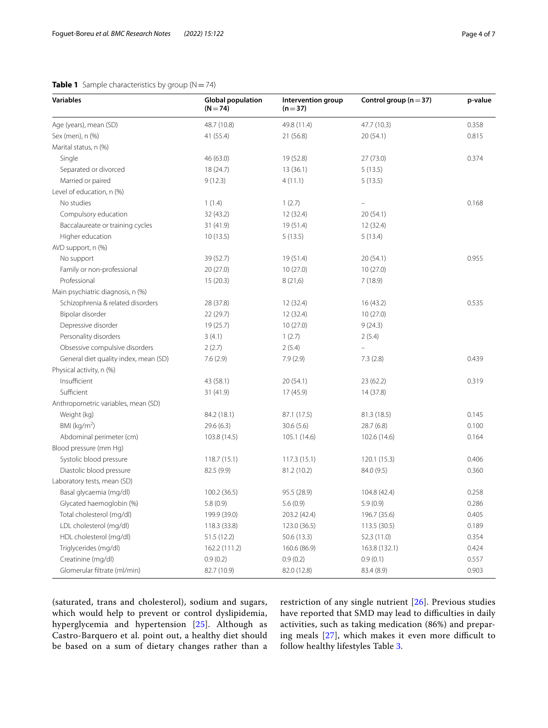## <span id="page-3-0"></span>**Table 1** Sample characteristics by group (N=74)

| <b>Variables</b>                      | <b>Global population</b><br>$(N = 74)$ | Intervention group<br>$(n=37)$ | Control group ( $n = 37$ ) | p-value |
|---------------------------------------|----------------------------------------|--------------------------------|----------------------------|---------|
| Age (years), mean (SD)                | 48.7 (10.8)                            | 49.8 (11.4)                    | 47.7 (10.3)                | 0.358   |
| Sex (men), n (%)                      | 41 (55.4)                              | 21 (56.8)                      | 20(54.1)                   | 0.815   |
| Marital status, n (%)                 |                                        |                                |                            |         |
| Single                                | 46 (63.0)                              | 19 (52.8)                      | 27(73.0)                   | 0.374   |
| Separated or divorced                 | 18 (24.7)                              | 13(36.1)                       | 5(13.5)                    |         |
| Married or paired                     | 9(12.3)                                | 4(11.1)                        | 5(13.5)                    |         |
| Level of education, n (%)             |                                        |                                |                            |         |
| No studies                            | 1(1.4)                                 | 1(2.7)                         |                            | 0.168   |
| Compulsory education                  | 32 (43.2)                              | 12 (32.4)                      | 20(54.1)                   |         |
| Baccalaureate or training cycles      | 31 (41.9)                              | 19 (51.4)                      | 12 (32.4)                  |         |
| Higher education                      | 10(13.5)                               | 5(13.5)                        | 5(13.4)                    |         |
| AVD support, n (%)                    |                                        |                                |                            |         |
| No support                            | 39 (52.7)                              | 19 (51.4)                      | 20(54.1)                   | 0.955   |
| Family or non-professional            | 20 (27.0)                              | 10(27.0)                       | 10(27.0)                   |         |
| Professional                          | 15(20.3)                               | 8(21,6)                        | 7(18.9)                    |         |
| Main psychiatric diagnosis, n (%)     |                                        |                                |                            |         |
| Schizophrenia & related disorders     | 28 (37.8)                              | 12 (32.4)                      | 16(43.2)                   | 0.535   |
| Bipolar disorder                      | 22 (29.7)                              | 12 (32.4)                      | 10(27.0)                   |         |
| Depressive disorder                   | 19(25.7)                               | 10(27.0)                       | 9(24.3)                    |         |
| Personality disorders                 | 3(4.1)                                 | 1(2.7)                         | 2(5.4)                     |         |
| Obsessive compulsive disorders        | 2(2.7)                                 | 2(5.4)                         |                            |         |
| General diet quality index, mean (SD) | 7.6(2.9)                               | 7.9(2.9)                       | 7.3(2.8)                   | 0.439   |
| Physical activity, n (%)              |                                        |                                |                            |         |
| Insufficient                          | 43 (58.1)                              | 20(54.1)                       | 23(62.2)                   | 0.319   |
| Sufficient                            | 31 (41.9)                              | 17 (45.9)                      | 14 (37.8)                  |         |
| Anthropometric variables, mean (SD)   |                                        |                                |                            |         |
| Weight (kg)                           | 84.2 (18.1)                            | 87.1 (17.5)                    | 81.3 (18.5)                | 0.145   |
| BMI ( $kg/m2$ )                       | 29.6 (6.3)                             | 30.6(5.6)                      | 28.7(6.8)                  | 0.100   |
| Abdominal perimeter (cm)              | 103.8 (14.5)                           | 105.1 (14.6)                   | 102.6 (14.6)               | 0.164   |
| Blood pressure (mm Hg)                |                                        |                                |                            |         |
| Systolic blood pressure               | 118.7(15.1)                            | 117.3(15.1)                    | 120.1(15.3)                | 0.406   |
| Diastolic blood pressure              | 82.5 (9.9)                             | 81.2 (10.2)                    | 84.0 (9.5)                 | 0.360   |
| Laboratory tests, mean (SD)           |                                        |                                |                            |         |
| Basal glycaemia (mg/dl)               | 100.2(36.5)                            | 95.5 (28.9)                    | 104.8 (42.4)               | 0.258   |
| Glycated haemoglobin (%)              | 5.8 (0.9)                              | 5.6(0.9)                       | 5.9(0.9)                   | 0.286   |
| Total cholesterol (mg/dl)             | 199.9 (39.0)                           | 203.2 (42.4)                   | 196.7 (35.6)               | 0.405   |
| LDL cholesterol (mg/dl)               | 118.3 (33.8)                           | 123.0 (36.5)                   | 113.5 (30.5)               | 0.189   |
| HDL cholesterol (mg/dl)               | 51.5 (12.2)                            | 50.6 (13.3)                    | 52,3 (11.0)                | 0.354   |
| Triglycerides (mg/dl)                 | 162.2 (111.2)                          | 160.6 (86.9)                   | 163.8 (132.1)              | 0.424   |
| Creatinine (mg/dl)                    | 0.9(0.2)                               | 0.9(0.2)                       | 0.9(0.1)                   | 0.557   |
| Glomerular filtrate (ml/min)          | 82.7 (10.9)                            | 82.0 (12.8)                    | 83.4 (8.9)                 | 0.903   |

(saturated, trans and cholesterol), sodium and sugars, which would help to prevent or control dyslipidemia, hyperglycemia and hypertension [[25\]](#page-6-6). Although as Castro-Barquero et al. point out, a healthy diet should be based on a sum of dietary changes rather than a restriction of any single nutrient [\[26\]](#page-6-7). Previous studies have reported that SMD may lead to difficulties in daily activities, such as taking medication (86%) and preparing meals  $[27]$  $[27]$ , which makes it even more difficult to follow healthy lifestyles Table [3.](#page-4-1)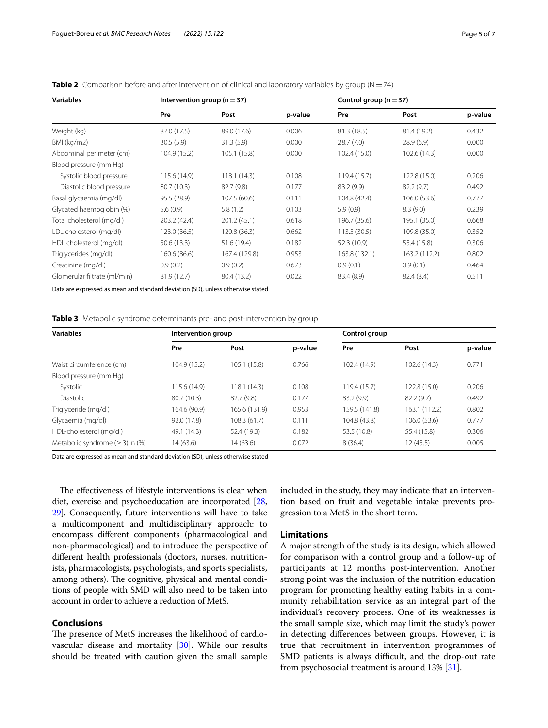| <b>Variables</b>             | Intervention group ( $n = 37$ ) |               |         | Control group ( $n = 37$ ) |               |         |
|------------------------------|---------------------------------|---------------|---------|----------------------------|---------------|---------|
|                              | Pre                             | Post          | p-value | Pre                        | Post          | p-value |
| Weight (kg)                  | 87.0 (17.5)                     | 89.0 (17.6)   | 0.006   | 81.3 (18.5)                | 81.4 (19.2)   | 0.432   |
| BMI (kg/m2)                  | 30.5(5.9)                       | 31.3(5.9)     | 0.000   | 28.7(7.0)                  | 28.9(6.9)     | 0.000   |
| Abdominal perimeter (cm)     | 104.9 (15.2)                    | 105.1 (15.8)  | 0.000   | 102.4 (15.0)               | 102.6 (14.3)  | 0.000   |
| Blood pressure (mm Hg)       |                                 |               |         |                            |               |         |
| Systolic blood pressure      | 115.6 (14.9)                    | 118.1(14.3)   | 0.108   | 119.4 (15.7)               | 122.8 (15.0)  | 0.206   |
| Diastolic blood pressure     | 80.7 (10.3)                     | 82.7 (9.8)    | 0.177   | 83.2(9.9)                  | 82.2(9.7)     | 0.492   |
| Basal glycaemia (mg/dl)      | 95.5 (28.9)                     | 107.5 (60.6)  | 0.111   | 104.8 (42.4)               | 106.0(53.6)   | 0.777   |
| Glycated haemoglobin (%)     | 5.6(0.9)                        | 5.8(1.2)      | 0.103   | 5.9(0.9)                   | 8.3(9.0)      | 0.239   |
| Total cholesterol (mg/dl)    | 203.2 (42.4)                    | 201.2 (45.1)  | 0.618   | 196.7 (35.6)               | 195.1 (35.0)  | 0.668   |
| LDL cholesterol (mg/dl)      | 123.0 (36.5)                    | 120.8 (36.3)  | 0.662   | 113.5 (30.5)               | 109.8 (35.0)  | 0.352   |
| HDL cholesterol (mg/dl)      | 50.6(13.3)                      | 51.6 (19.4)   | 0.182   | 52.3 (10.9)                | 55.4 (15.8)   | 0.306   |
| Triglycerides (mg/dl)        | 160.6 (86.6)                    | 167.4 (129.8) | 0.953   | 163.8 (132.1)              | 163.2 (112.2) | 0.802   |
| Creatinine (mg/dl)           | 0.9(0.2)                        | 0.9(0.2)      | 0.673   | 0.9(0.1)                   | 0.9(0.1)      | 0.464   |
| Glomerular filtrate (ml/min) | 81.9(12.7)                      | 80.4 (13.2)   | 0.022   | 83.4 (8.9)                 | 82.4 (8.4)    | 0.511   |

<span id="page-4-0"></span>**Table 2** Comparison before and after intervention of clinical and laboratory variables by group ( $N = 74$ )

Data are expressed as mean and standard deviation (SD), unless otherwise stated

<span id="page-4-1"></span>**Table 3** Metabolic syndrome determinants pre- and post-intervention by group

| <b>Variables</b>                         | Intervention group |               |         | Control group |               |         |
|------------------------------------------|--------------------|---------------|---------|---------------|---------------|---------|
|                                          | Pre                | Post          | p-value | Pre           | Post          | p-value |
| Waist circumference (cm)                 | 104.9 (15.2)       | 105.1 (15.8)  | 0.766   | 102.4 (14.9)  | 102.6(14.3)   | 0.771   |
| Blood pressure (mm Hg)                   |                    |               |         |               |               |         |
| Systolic                                 | 115.6 (14.9)       | 118.1(14.3)   | 0.108   | 119.4(15.7)   | 122.8 (15.0)  | 0.206   |
| <b>Diastolic</b>                         | 80.7 (10.3)        | 82.7 (9.8)    | 0.177   | 83.2(9.9)     | 82.2(9.7)     | 0.492   |
| Triglyceride (mg/dl)                     | 164.6 (90.9)       | 165.6 (131.9) | 0.953   | 159.5 (141.8) | 163.1 (112.2) | 0.802   |
| Glycaemia (mg/dl)                        | 92.0 (17.8)        | 108.3 (61.7)  | 0.111   | 104.8 (43.8)  | 106.0(53.6)   | 0.777   |
| HDL-cholesterol (mg/dl)                  | 49.1 (14.3)        | 52.4 (19.3)   | 0.182   | 53.5 (10.8)   | 55.4 (15.8)   | 0.306   |
| Metabolic syndrome $(\geq 3)$ , n $(\%)$ | 14 (63.6)          | 14(63.6)      | 0.072   | 8(36.4)       | 12(45.5)      | 0.005   |

Data are expressed as mean and standard deviation (SD), unless otherwise stated

The effectiveness of lifestyle interventions is clear when diet, exercise and psychoeducation are incorporated [[28](#page-6-9), [29](#page-6-10)]. Consequently, future interventions will have to take a multicomponent and multidisciplinary approach: to encompass diferent components (pharmacological and non-pharmacological) and to introduce the perspective of diferent health professionals (doctors, nurses, nutritionists, pharmacologists, psychologists, and sports specialists, among others). The cognitive, physical and mental conditions of people with SMD will also need to be taken into account in order to achieve a reduction of MetS.

## **Conclusions**

The presence of MetS increases the likelihood of cardiovascular disease and mortality [[30\]](#page-6-11). While our results should be treated with caution given the small sample included in the study, they may indicate that an intervention based on fruit and vegetable intake prevents progression to a MetS in the short term.

### **Limitations**

A major strength of the study is its design, which allowed for comparison with a control group and a follow-up of participants at 12 months post-intervention. Another strong point was the inclusion of the nutrition education program for promoting healthy eating habits in a community rehabilitation service as an integral part of the individual's recovery process. One of its weaknesses is the small sample size, which may limit the study's power in detecting diferences between groups. However, it is true that recruitment in intervention programmes of SMD patients is always difficult, and the drop-out rate from psychosocial treatment is around 13% [[31\]](#page-6-12).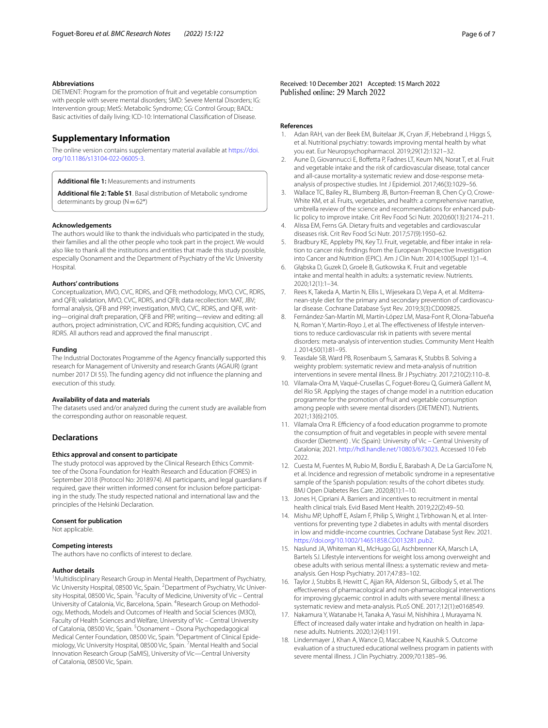#### **Abbreviations**

DIETMENT: Program for the promotion of fruit and vegetable consumption with people with severe mental disorders; SMD: Severe Mental Disorders; IG: Intervention group; MetS: Metabolic Syndrome; CG: Control Group; BADL: Basic activities of daily living; ICD-10: International Classifcation of Disease.

#### **Supplementary Information**

The online version contains supplementary material available at [https://doi.](https://doi.org/10.1186/s13104-022-06005-3) [org/10.1186/s13104-022-06005-3](https://doi.org/10.1186/s13104-022-06005-3).

<span id="page-5-10"></span><span id="page-5-8"></span>**Additional fle 1:** Measurements and instruments

**Additional fle 2: Table S1**. Basal distribution of Metabolic syndrome determinants by group  $(N=62*)$ 

#### **Acknowledgements**

The authors would like to thank the individuals who participated in the study, their families and all the other people who took part in the project. We would also like to thank all the institutions and entities that made this study possible, especially Osonament and the Department of Psychiatry of the Vic University Hospital.

#### **Authors' contributions**

Conceptualization, MVO, CVC, RDRS, and QFB; methodology, MVO, CVC, RDRS, and QFB; validation, MVO, CVC, RDRS, and QFB; data recollection: MAT, JBV; formal analysis, QFB and PRP; investigation, MVO, CVC, RDRS, and QFB, writing—original draft preparation, QFB and PRP, writing—review and editing: all authors, project administration, CVC and RDRS; funding acquisition, CVC and RDRS. All authors read and approved the fnal manuscript .

#### **Funding**

The Industrial Doctorates Programme of the Agency fnancially supported this research for Management of University and research Grants (AGAUR) (grant number 2017 DI 55). The funding agency did not infuence the planning and execution of this study.

#### **Availability of data and materials**

The datasets used and/or analyzed during the current study are available from the corresponding author on reasonable request.

#### **Declarations**

#### **Ethics approval and consent to participate**

The study protocol was approved by the Clinical Research Ethics Committee of the Osona Foundation for Health Research and Education (FORES) in September 2018 (Protocol No: 2018974). All participants, and legal guardians if required, gave their written informed consent for inclusion before participating in the study. The study respected national and international law and the principles of the Helsinki Declaration.

#### **Consent for publication**

Not applicable.

#### **Competing interests**

The authors have no conficts of interest to declare.

#### **Author details**

<sup>1</sup> Multidisciplinary Research Group in Mental Health, Department of Psychiatry, Vic University Hospital, 08500 Vic, Spain. <sup>2</sup> Department of Psychiatry, Vic University Hospital, 08500 Vic, Spain. <sup>3</sup> Faculty of Medicine, University of Vic – Central University of Catalonia, Vic, Barcelona, Spain. <sup>4</sup>Research Group on Methodology, Methods, Models and Outcomes of Health and Social Sciences (M3O), Faculty of Health Sciences and Welfare, University of Vic – Central University of Catalonia, 08500 Vic, Spain. <sup>5</sup>Osonament – Osona Psychopedagogical Medical Center Foundation, 08500 Vic, Spain. <sup>6</sup>Department of Clinical Epidemiology, Vic University Hospital, 08500 Vic, Spain. <sup>7</sup> Mental Health and Social Innovation Research Group (SaMIS), University of Vic—Central University of Catalonia, 08500 Vic, Spain.

Received: 10 December 2021 Accepted: 15 March 2022

#### **References**

- <span id="page-5-0"></span>1. Adan RAH, van der Beek EM, Buitelaar JK, Cryan JF, Hebebrand J, Higgs S, et al. Nutritional psychiatry: towards improving mental health by what you eat. Eur Neuropsychopharmacol. 2019;29(12):1321–32.
- <span id="page-5-1"></span>2. Aune D, Giovannucci E, Boffetta P, Fadnes LT, Keum NN, Norat T, et al. Fruit and vegetable intake and the risk of cardiovascular disease, total cancer and all-cause mortality-a systematic review and dose-response metaanalysis of prospective studies. Int J Epidemiol. 2017;46(3):1029–56.
- 3. Wallace TC, Bailey RL, Blumberg JB, Burton-Freeman B, Chen Cy O, Crowe-White KM, et al. Fruits, vegetables, and health: a comprehensive narrative, umbrella review of the science and recommendations for enhanced public policy to improve intake. Crit Rev Food Sci Nutr. 2020;60(13):2174–211.
- 4. Alissa EM, Ferns GA. Dietary fruits and vegetables and cardiovascular diseases risk. Crit Rev Food Sci Nutr. 2017;57(9):1950–62.
- 5. Bradbury KE, Appleby PN, Key TJ. Fruit, vegetable, and fiber intake in relation to cancer risk: fndings from the European Prospective Investigation into Cancer and Nutrition (EPIC). Am J Clin Nutr. 2014;100(Suppl 1):1–4.
- <span id="page-5-2"></span>6. Głąbska D, Guzek D, Groele B, Gutkowska K. Fruit and vegetable intake and mental health in adults: a systematic review. Nutrients. 2020;12(1):1–34.
- <span id="page-5-3"></span>7. Rees K, Takeda A, Martin N, Ellis L, Wijesekara D, Vepa A, et al. Mditerranean-style diet for the primary and secondary prevention of cardiovascular disease. Cochrane Database Syst Rev. 2019;3(3):CD009825.
- <span id="page-5-4"></span>8. Fernández-San-Martín MI, Martín-López LM, Masa-Font R, Olona-Tabueña N, Roman Y, Martin-Royo J, et al. The effectiveness of lifestyle interventions to reduce cardiovascular risk in patients with severe mental disorders: meta-analysis of intervention studies. Community Ment Health J. 2014;50(1):81–95.
- <span id="page-5-5"></span>9. Teasdale SB, Ward PB, Rosenbaum S, Samaras K, Stubbs B. Solving a weighty problem: systematic review and meta-analysis of nutrition interventions in severe mental illness. Br J Psychiatry. 2017;210(2):110–8.
- <span id="page-5-6"></span>10. Vilamala-Orra M, Vaqué-Crusellas C, Foguet-Boreu Q, Guimerà Gallent M, del Río SR. Applying the stages of change model in a nutrition education programme for the promotion of fruit and vegetable consumption among people with severe mental disorders (DIETMENT). Nutrients. 2021;13(6):2105.
- <span id="page-5-7"></span>11. Vilamala Orra R. Efficiency of a food education programme to promote the consumption of fruit and vegetables in people with severe mental disorder (Dietment) . Vic (Spain): University of Vic – Central University of Catalonia; 2021. [http://hdl.handle.net/10803/673023.](http://hdl.handle.net/10803/673023) Accessed 10 Feb 2022.
- <span id="page-5-9"></span>12. Cuesta M, Fuentes M, Rubio M, Bordiu E, Barabash A, De La GarciaTorre N, et al. Incidence and regression of metabolic syndrome in a representative sample of the Spanish population: results of the cohort dibetes study. BMJ Open Diabetes Res Care. 2020;8(1):1–10.
- <span id="page-5-11"></span>13. Jones H, Cipriani A. Barriers and incentives to recruitment in mental health clinical trials. Evid Based Ment Health. 2019;22(2):49–50.
- <span id="page-5-12"></span>14. Mishu MP, Uphoff E, Aslam F, Philip S, Wright J, Tirbhowan N, et al. Interventions for preventing type 2 diabetes in adults with mental disorders in low and middle-income countries. Cochrane Database Syst Rev. 2021. <https://doi.org/10.1002/14651858.CD013281.pub2>.
- <span id="page-5-13"></span>15. Naslund JA, Whiteman KL, McHugo GJ, Aschbrenner KA, Marsch LA, Bartels SJ. Lifestyle interventions for weight loss among overweight and obese adults with serious mental illness: a systematic review and metaanalysis. Gen Hosp Psychiatry. 2017;47:83–102.
- <span id="page-5-14"></span>16. Taylor J, Stubbs B, Hewitt C, Ajjan RA, Alderson SL, Gilbody S, et al. The efectiveness of pharmacological and non-pharmacological interventions for improving glycaemic control in adults with severe mental illness: a systematic review and meta-analysis. PLoS ONE. 2017;12(1):e0168549.
- <span id="page-5-15"></span>17. Nakamura Y, Watanabe H, Tanaka A, Yasui M, Nishihira J, Murayama N. Effect of increased daily water intake and hydration on health in Japanese adults. Nutrients. 2020;12(4):1191.
- <span id="page-5-16"></span>18. Lindenmayer J, Khan A, Wance D, Maccabee N, Kaushik S. Outcome evaluation of a structured educational wellness program in patients with severe mental illness. J Clin Psychiatry. 2009;70:1385–96.